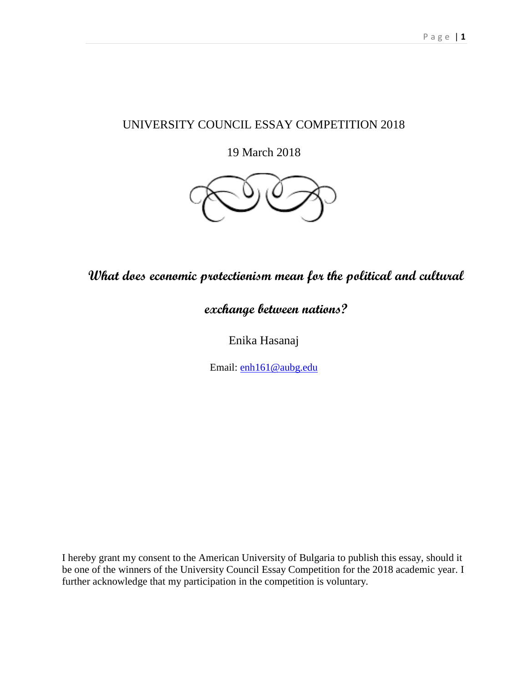### UNIVERSITY COUNCIL ESSAY COMPETITION 2018

19 March 2018



## **What does economic protectionism mean for the political and cultural**

# **exchange between nations?**

Enika Hasanaj

Email: [enh161@aubg.edu](mailto:enh161@aubg.edu)

I hereby grant my consent to the American University of Bulgaria to publish this essay, should it be one of the winners of the University Council Essay Competition for the 2018 academic year. I further acknowledge that my participation in the competition is voluntary.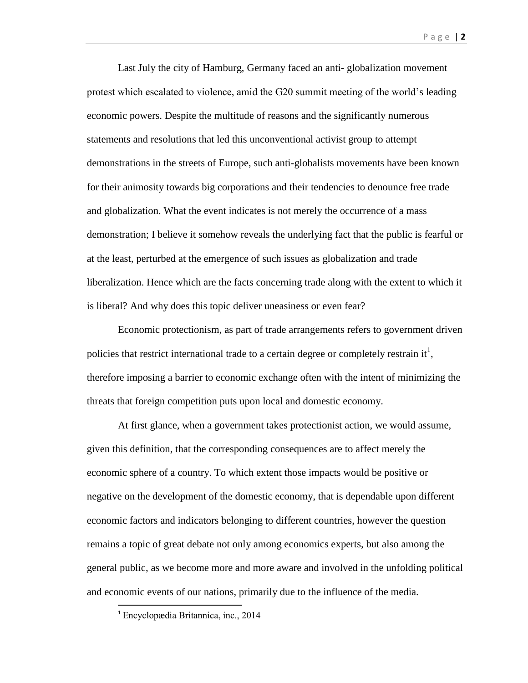Last July the city of Hamburg, Germany faced an anti- globalization movement protest which escalated to violence, amid the G20 summit meeting of the world's leading economic powers. Despite the multitude of reasons and the significantly numerous statements and resolutions that led this unconventional activist group to attempt demonstrations in the streets of Europe, such anti-globalists movements have been known for their animosity towards big corporations and their tendencies to denounce free trade and globalization. What the event indicates is not merely the occurrence of a mass demonstration; I believe it somehow reveals the underlying fact that the public is fearful or at the least, perturbed at the emergence of such issues as globalization and trade liberalization. Hence which are the facts concerning trade along with the extent to which it is liberal? And why does this topic deliver uneasiness or even fear?

Economic protectionism, as part of trade arrangements refers to government driven policies that restrict international trade to a certain degree or completely restrain it<sup>1</sup>, therefore imposing a barrier to economic exchange often with the intent of minimizing the threats that foreign competition puts upon local and domestic economy.

At first glance, when a government takes protectionist action, we would assume, given this definition, that the corresponding consequences are to affect merely the economic sphere of a country. To which extent those impacts would be positive or negative on the development of the domestic economy, that is dependable upon different economic factors and indicators belonging to different countries, however the question remains a topic of great debate not only among economics experts, but also among the general public, as we become more and more aware and involved in the unfolding political and economic events of our nations, primarily due to the influence of the media.

<sup>1</sup> Encyclopædia Britannica, inc., 2014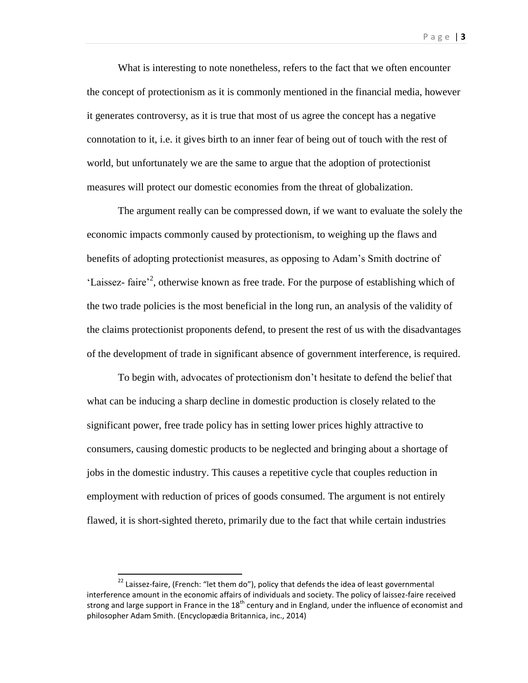What is interesting to note nonetheless, refers to the fact that we often encounter the concept of protectionism as it is commonly mentioned in the financial media, however it generates controversy, as it is true that most of us agree the concept has a negative connotation to it, i.e. it gives birth to an inner fear of being out of touch with the rest of world, but unfortunately we are the same to argue that the adoption of protectionist measures will protect our domestic economies from the threat of globalization.

The argument really can be compressed down, if we want to evaluate the solely the economic impacts commonly caused by protectionism, to weighing up the flaws and benefits of adopting protectionist measures, as opposing to Adam's Smith doctrine of 'Laissez- faire'<sup>2</sup>, otherwise known as free trade. For the purpose of establishing which of the two trade policies is the most beneficial in the long run, an analysis of the validity of the claims protectionist proponents defend, to present the rest of us with the disadvantages of the development of trade in significant absence of government interference, is required.

To begin with, advocates of protectionism don't hesitate to defend the belief that what can be inducing a sharp decline in domestic production is closely related to the significant power, free trade policy has in setting lower prices highly attractive to consumers, causing domestic products to be neglected and bringing about a shortage of jobs in the domestic industry. This causes a repetitive cycle that couples reduction in employment with reduction of prices of goods consumed. The argument is not entirely flawed, it is short-sighted thereto, primarily due to the fact that while certain industries

 22 Laissez-faire, (French: "let them do"), policy that defends the idea of least governmental interference amount in the economic affairs of individuals and society. The policy of laissez-faire received strong and large support in France in the  $18<sup>th</sup>$  century and in England, under the influence of economist and philosopher Adam Smith. (Encyclopædia Britannica, inc., 2014)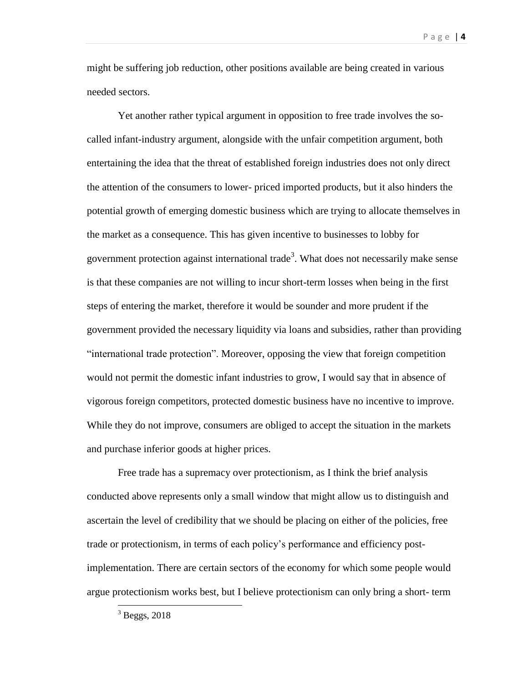might be suffering job reduction, other positions available are being created in various needed sectors.

Yet another rather typical argument in opposition to free trade involves the socalled infant-industry argument, alongside with the unfair competition argument, both entertaining the idea that the threat of established foreign industries does not only direct the attention of the consumers to lower- priced imported products, but it also hinders the potential growth of emerging domestic business which are trying to allocate themselves in the market as a consequence. This has given incentive to businesses to lobby for government protection against international trade<sup>3</sup>. What does not necessarily make sense is that these companies are not willing to incur short-term losses when being in the first steps of entering the market, therefore it would be sounder and more prudent if the government provided the necessary liquidity via loans and subsidies, rather than providing "international trade protection". Moreover, opposing the view that foreign competition would not permit the domestic infant industries to grow, I would say that in absence of vigorous foreign competitors, protected domestic business have no incentive to improve. While they do not improve, consumers are obliged to accept the situation in the markets and purchase inferior goods at higher prices.

Free trade has a supremacy over protectionism, as I think the brief analysis conducted above represents only a small window that might allow us to distinguish and ascertain the level of credibility that we should be placing on either of the policies, free trade or protectionism, in terms of each policy's performance and efficiency postimplementation. There are certain sectors of the economy for which some people would argue protectionism works best, but I believe protectionism can only bring a short- term

 $3$  Beggs, 2018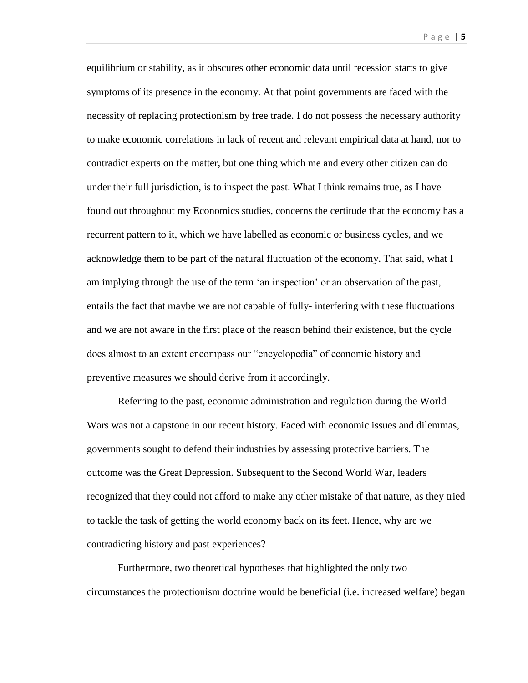equilibrium or stability, as it obscures other economic data until recession starts to give symptoms of its presence in the economy. At that point governments are faced with the necessity of replacing protectionism by free trade. I do not possess the necessary authority to make economic correlations in lack of recent and relevant empirical data at hand, nor to contradict experts on the matter, but one thing which me and every other citizen can do under their full jurisdiction, is to inspect the past. What I think remains true, as I have found out throughout my Economics studies, concerns the certitude that the economy has a recurrent pattern to it, which we have labelled as economic or business cycles, and we acknowledge them to be part of the natural fluctuation of the economy. That said, what I am implying through the use of the term 'an inspection' or an observation of the past, entails the fact that maybe we are not capable of fully- interfering with these fluctuations and we are not aware in the first place of the reason behind their existence, but the cycle does almost to an extent encompass our "encyclopedia" of economic history and preventive measures we should derive from it accordingly.

Referring to the past, economic administration and regulation during the World Wars was not a capstone in our recent history. Faced with economic issues and dilemmas, governments sought to defend their industries by assessing protective barriers. The outcome was the Great Depression. Subsequent to the Second World War, leaders recognized that they could not afford to make any other mistake of that nature, as they tried to tackle the task of getting the world economy back on its feet. Hence, why are we contradicting history and past experiences?

Furthermore, two theoretical hypotheses that highlighted the only two circumstances the protectionism doctrine would be beneficial (i.e. increased welfare) began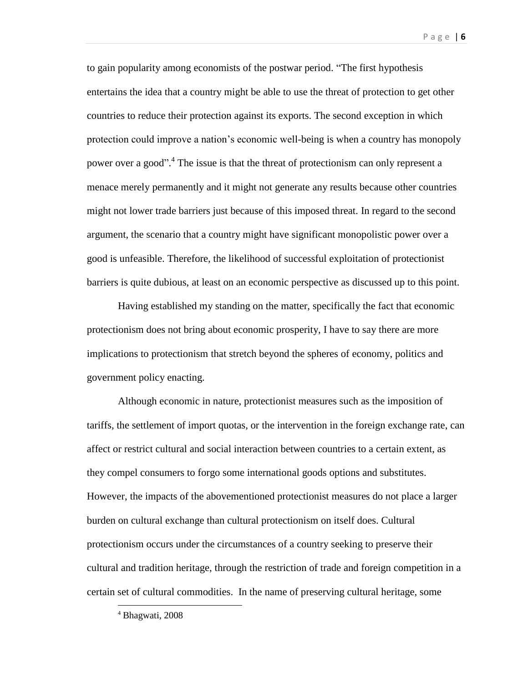to gain popularity among economists of the postwar period. "The first hypothesis entertains the idea that a country might be able to use the threat of protection to get other countries to reduce their protection against its exports. The second exception in which protection could improve a nation's economic well-being is when a country has monopoly power over a good". 4 The issue is that the threat of protectionism can only represent a menace merely permanently and it might not generate any results because other countries might not lower trade barriers just because of this imposed threat. In regard to the second argument, the scenario that a country might have significant monopolistic power over a good is unfeasible. Therefore, the likelihood of successful exploitation of protectionist barriers is quite dubious, at least on an economic perspective as discussed up to this point.

Having established my standing on the matter, specifically the fact that economic protectionism does not bring about economic prosperity, I have to say there are more implications to protectionism that stretch beyond the spheres of economy, politics and government policy enacting.

Although economic in nature, protectionist measures such as the imposition of tariffs, the settlement of import quotas, or the intervention in the foreign exchange rate, can affect or restrict cultural and social interaction between countries to a certain extent, as they compel consumers to forgo some international goods options and substitutes. However, the impacts of the abovementioned protectionist measures do not place a larger burden on cultural exchange than cultural protectionism on itself does. Cultural protectionism occurs under the circumstances of a country seeking to preserve their cultural and tradition heritage, through the restriction of trade and foreign competition in a certain set of cultural commodities. In the name of preserving cultural heritage, some

<sup>4</sup> Bhagwati, 2008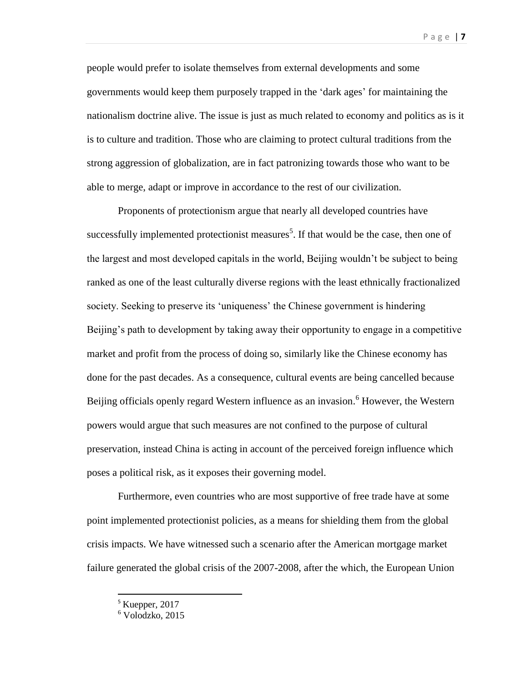people would prefer to isolate themselves from external developments and some governments would keep them purposely trapped in the 'dark ages' for maintaining the nationalism doctrine alive. The issue is just as much related to economy and politics as is it is to culture and tradition. Those who are claiming to protect cultural traditions from the strong aggression of globalization, are in fact patronizing towards those who want to be able to merge, adapt or improve in accordance to the rest of our civilization.

Proponents of protectionism argue that nearly all developed countries have successfully implemented protectionist measures<sup>5</sup>. If that would be the case, then one of the largest and most developed capitals in the world, Beijing wouldn't be subject to being ranked as one of the least culturally diverse regions with the least ethnically fractionalized society. Seeking to preserve its 'uniqueness' the Chinese government is hindering Beijing's path to development by taking away their opportunity to engage in a competitive market and profit from the process of doing so, similarly like the Chinese economy has done for the past decades. As a consequence, cultural events are being cancelled because Beijing officials openly regard Western influence as an invasion.<sup>6</sup> However, the Western powers would argue that such measures are not confined to the purpose of cultural preservation, instead China is acting in account of the perceived foreign influence which poses a political risk, as it exposes their governing model.

Furthermore, even countries who are most supportive of free trade have at some point implemented protectionist policies, as a means for shielding them from the global crisis impacts. We have witnessed such a scenario after the American mortgage market failure generated the global crisis of the 2007-2008, after the which, the European Union

 $\ddot{\phantom{a}}$ 

<sup>&</sup>lt;sup>5</sup> Kuepper, 2017

<sup>6</sup> Volodzko, 2015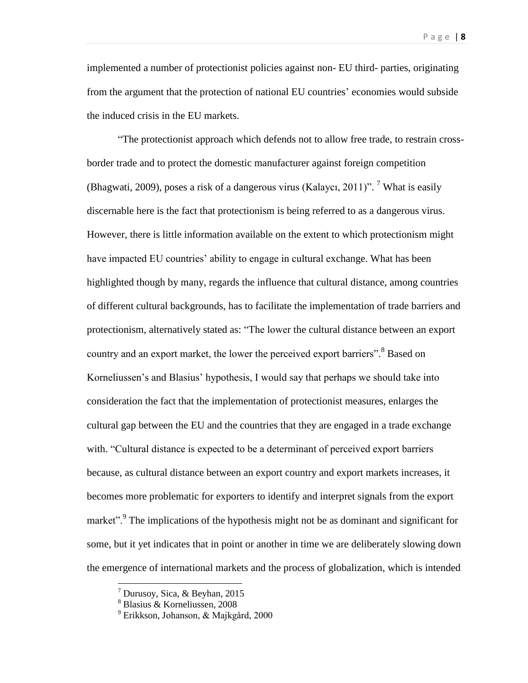implemented a number of protectionist policies against non- EU third- parties, originating from the argument that the protection of national EU countries' economies would subside the induced crisis in the EU markets.

"The protectionist approach which defends not to allow free trade, to restrain crossborder trade and to protect the domestic manufacturer against foreign competition (Bhagwati, 2009), poses a risk of a dangerous virus (Kalaycı, 2011)". <sup>7</sup> What is easily discernable here is the fact that protectionism is being referred to as a dangerous virus. However, there is little information available on the extent to which protectionism might have impacted EU countries' ability to engage in cultural exchange. What has been highlighted though by many, regards the influence that cultural distance, among countries of different cultural backgrounds, has to facilitate the implementation of trade barriers and protectionism, alternatively stated as: "The lower the cultural distance between an export country and an export market, the lower the perceived export barriers".<sup>8</sup> Based on Korneliussen's and Blasius' hypothesis, I would say that perhaps we should take into consideration the fact that the implementation of protectionist measures, enlarges the cultural gap between the EU and the countries that they are engaged in a trade exchange with. "Cultural distance is expected to be a determinant of perceived export barriers because, as cultural distance between an export country and export markets increases, it becomes more problematic for exporters to identify and interpret signals from the export market".<sup>9</sup> The implications of the hypothesis might not be as dominant and significant for some, but it yet indicates that in point or another in time we are deliberately slowing down the emergence of international markets and the process of globalization, which is intended

 $\ddot{\phantom{a}}$ 

 $^7$  Durusoy, Sica, & Beyhan, 2015

<sup>8</sup> Blasius & Korneliussen, 2008

 $9$  Erikkson, Johanson, & Majkgård, 2000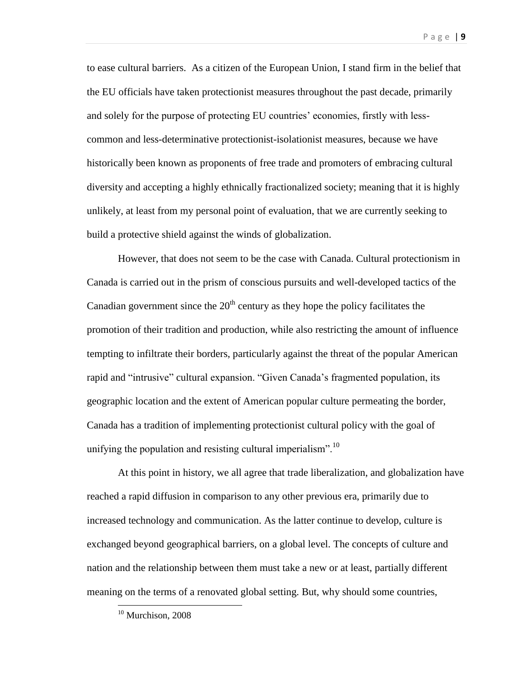to ease cultural barriers. As a citizen of the European Union, I stand firm in the belief that the EU officials have taken protectionist measures throughout the past decade, primarily and solely for the purpose of protecting EU countries' economies, firstly with lesscommon and less-determinative protectionist-isolationist measures, because we have historically been known as proponents of free trade and promoters of embracing cultural diversity and accepting a highly ethnically fractionalized society; meaning that it is highly unlikely, at least from my personal point of evaluation, that we are currently seeking to build a protective shield against the winds of globalization.

However, that does not seem to be the case with Canada. Cultural protectionism in Canada is carried out in the prism of conscious pursuits and well-developed tactics of the Canadian government since the  $20<sup>th</sup>$  century as they hope the policy facilitates the promotion of their tradition and production, while also restricting the amount of influence tempting to infiltrate their borders, particularly against the threat of the popular American rapid and "intrusive" cultural expansion. "Given Canada's fragmented population, its geographic location and the extent of American popular culture permeating the border, Canada has a tradition of implementing protectionist cultural policy with the goal of unifying the population and resisting cultural imperialism". $^{10}$ 

At this point in history, we all agree that trade liberalization, and globalization have reached a rapid diffusion in comparison to any other previous era, primarily due to increased technology and communication. As the latter continue to develop, culture is exchanged beyond geographical barriers, on a global level. The concepts of culture and nation and the relationship between them must take a new or at least, partially different meaning on the terms of a renovated global setting. But, why should some countries,

<sup>&</sup>lt;sup>10</sup> Murchison, 2008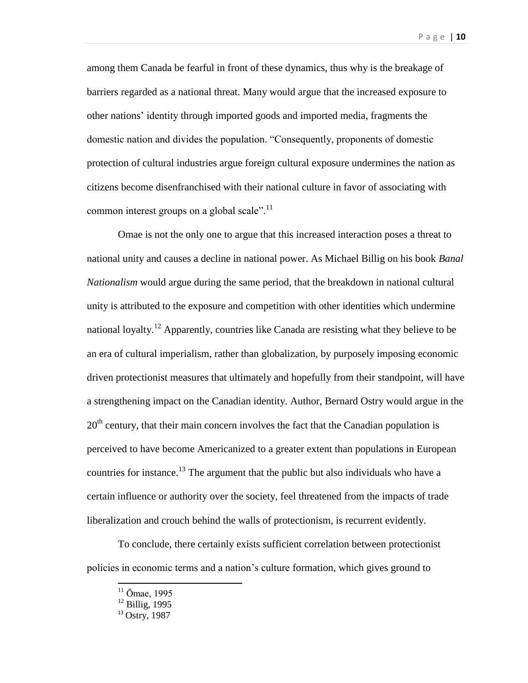among them Canada be fearful in front of these dynamics, thus why is the breakage of barriers regarded as a national threat. Many would argue that the increased exposure to other nations' identity through imported goods and imported media, fragments the domestic nation and divides the population. "Consequently, proponents of domestic protection of cultural industries argue foreign cultural exposure undermines the nation as citizens become disenfranchised with their national culture in favor of associating with common interest groups on a global scale". $\frac{11}{11}$ 

Omae is not the only one to argue that this increased interaction poses a threat to national unity and causes a decline in national power. As Michael Billig on his book *Banal Nationalism* would argue during the same period, that the breakdown in national cultural unity is attributed to the exposure and competition with other identities which undermine national loyalty.<sup>12</sup> Apparently, countries like Canada are resisting what they believe to be an era of cultural imperialism, rather than globalization, by purposely imposing economic driven protectionist measures that ultimately and hopefully from their standpoint, will have a strengthening impact on the Canadian identity. Author, Bernard Ostry would argue in the  $20<sup>th</sup>$  century, that their main concern involves the fact that the Canadian population is perceived to have become Americanized to a greater extent than populations in European countries for instance.<sup>13</sup> The argument that the public but also individuals who have a certain influence or authority over the society, feel threatened from the impacts of trade liberalization and crouch behind the walls of protectionism, is recurrent evidently.

To conclude, there certainly exists sufficient correlation between protectionist policies in economic terms and a nation's culture formation, which gives ground to

 $\ddot{\phantom{a}}$ 

 $11$  Ōmae, 1995

 $12$  Billig. 1995

<sup>&</sup>lt;sup>13</sup> Ostry, 1987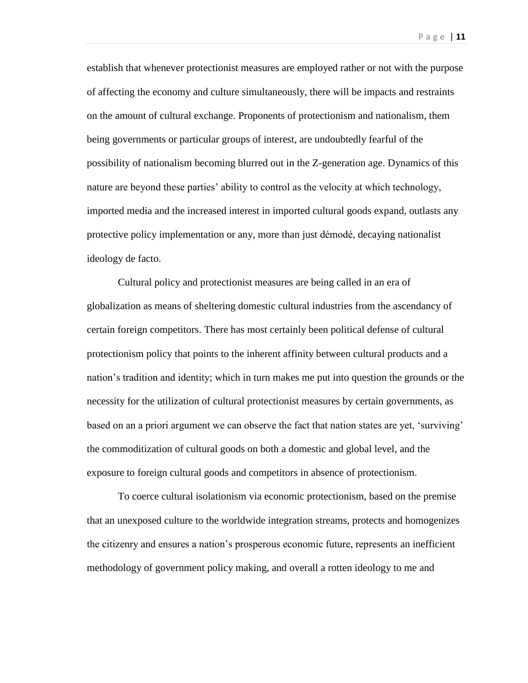establish that whenever protectionist measures are employed rather or not with the purpose of affecting the economy and culture simultaneously, there will be impacts and restraints on the amount of cultural exchange. Proponents of protectionism and nationalism, them being governments or particular groups of interest, are undoubtedly fearful of the possibility of nationalism becoming blurred out in the Z-generation age. Dynamics of this nature are beyond these parties' ability to control as the velocity at which technology,

imported media and the increased interest in imported cultural goods expand, outlasts any protective policy implementation or any, more than just démodé, decaying nationalist ideology de facto.

Cultural policy and protectionist measures are being called in an era of globalization as means of sheltering domestic cultural industries from the ascendancy of certain foreign competitors. There has most certainly been political defense of cultural protectionism policy that points to the inherent affinity between cultural products and a nation's tradition and identity; which in turn makes me put into question the grounds or the necessity for the utilization of cultural protectionist measures by certain governments, as based on an a priori argument we can observe the fact that nation states are yet, 'surviving' the commoditization of cultural goods on both a domestic and global level, and the exposure to foreign cultural goods and competitors in absence of protectionism.

To coerce cultural isolationism via economic protectionism, based on the premise that an unexposed culture to the worldwide integration streams, protects and homogenizes the citizenry and ensures a nation's prosperous economic future, represents an inefficient methodology of government policy making, and overall a rotten ideology to me and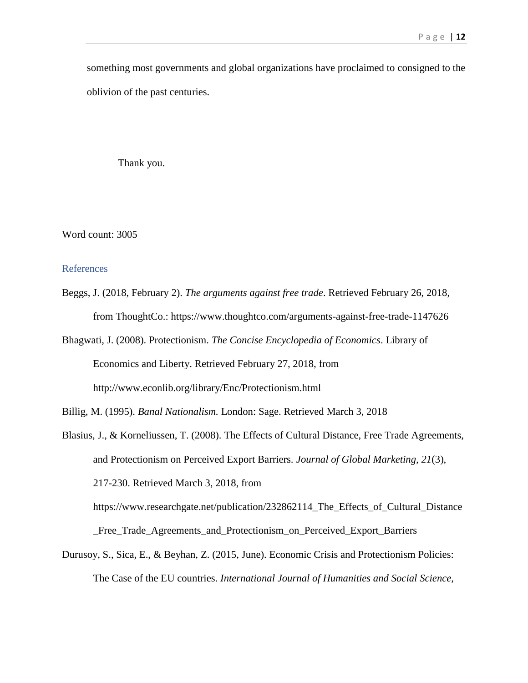something most governments and global organizations have proclaimed to consigned to the oblivion of the past centuries.

Thank you.

Word count: 3005

### References

- Beggs, J. (2018, February 2). *The arguments against free trade*. Retrieved February 26, 2018, from ThoughtCo.: https://www.thoughtco.com/arguments-against-free-trade-1147626
- Bhagwati, J. (2008). Protectionism. *The Concise Encyclopedia of Economics*. Library of Economics and Liberty. Retrieved February 27, 2018, from http://www.econlib.org/library/Enc/Protectionism.html

Blasius, J., & Korneliussen, T. (2008). The Effects of Cultural Distance, Free Trade Agreements, and Protectionism on Perceived Export Barriers. *Journal of Global Marketing, 21*(3), 217-230. Retrieved March 3, 2018, from https://www.researchgate.net/publication/232862114\_The\_Effects\_of\_Cultural\_Distance

\_Free\_Trade\_Agreements\_and\_Protectionism\_on\_Perceived\_Export\_Barriers

Durusoy, S., Sica, E., & Beyhan, Z. (2015, June). Economic Crisis and Protectionism Policies: The Case of the EU countries. *International Journal of Humanities and Social Science,* 

Billig, M. (1995). *Banal Nationalism.* London: Sage. Retrieved March 3, 2018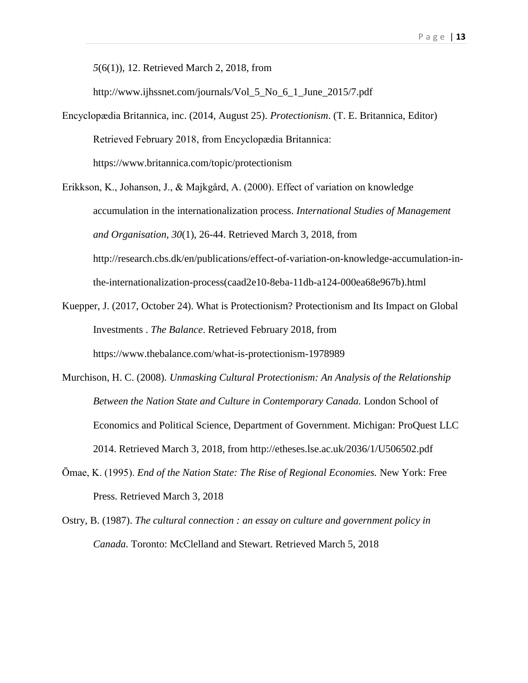*5*(6(1)), 12. Retrieved March 2, 2018, from

http://www.ijhssnet.com/journals/Vol 5 No 6 1 June 2015/7.pdf

- Encyclopædia Britannica, inc. (2014, August 25). *Protectionism*. (T. E. Britannica, Editor) Retrieved February 2018, from Encyclopædia Britannica: https://www.britannica.com/topic/protectionism
- Erikkson, K., Johanson, J., & Majkgård, A. (2000). Effect of variation on knowledge accumulation in the internationalization process. *International Studies of Management and Organisation, 30*(1), 26-44. Retrieved March 3, 2018, from http://research.cbs.dk/en/publications/effect-of-variation-on-knowledge-accumulation-inthe-internationalization-process(caad2e10-8eba-11db-a124-000ea68e967b).html
- Kuepper, J. (2017, October 24). What is Protectionism? Protectionism and Its Impact on Global Investments . *The Balance*. Retrieved February 2018, from https://www.thebalance.com/what-is-protectionism-1978989
- Murchison, H. C. (2008). *Unmasking Cultural Protectionism: An Analysis of the Relationship Between the Nation State and Culture in Contemporary Canada.* London School of Economics and Political Science, Department of Government. Michigan: ProQuest LLC 2014. Retrieved March 3, 2018, from http://etheses.lse.ac.uk/2036/1/U506502.pdf
- Ōmae, K. (1995). *End of the Nation State: The Rise of Regional Economies.* New York: Free Press. Retrieved March 3, 2018
- Ostry, B. (1987). *The cultural connection : an essay on culture and government policy in Canada.* Toronto: McClelland and Stewart. Retrieved March 5, 2018